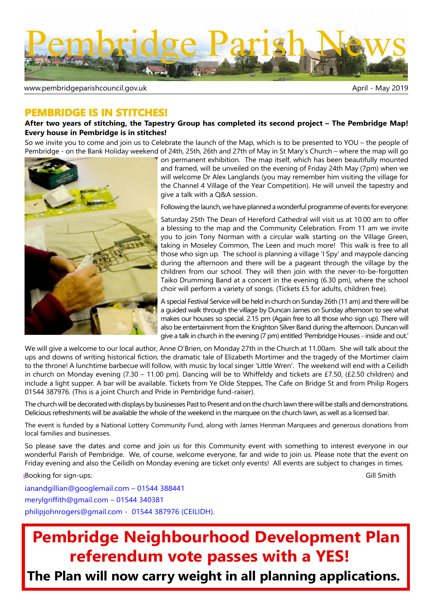

www.pembridgeparishcouncil.gov.uk and the state of the state of the May 2019

## **PEMBRIDGE IS IN STITCHES!**

### **After two years of stitching, the Tapestry Group has completed its second project – The Pembridge Map! Every house in Pembridge is in stitches!**

So we invite you to come and join us to Celebrate the launch of the Map, which is to be presented to YOU – the people of Pembridge - on the Bank Holiday weekend of 24th, 25th, 26th and 27th of May in St Mary's Church – where the map will go



on permanent exhibition. The map itself, which has been beautifully mounted and framed, will be unveiled on the evening of Friday 24th May (7pm) when we will welcome Dr Alex Langlands (you may remember him visiting the village for the Channel 4 Village of the Year Competition). He will unveil the tapestry and give a talk with a Q&A session.

Following the launch, we have planned a wonderful programme of events for everyone:

Saturday 25th The Dean of Hereford Cathedral will visit us at 10.00 am to offer a blessing to the map and the Community Celebration. From 11 am we invite you to join Tony Norman with a circular walk starting on the Village Green, taking in Moseley Common, The Leen and much more! This walk is free to all those who sign up. The school is planning a village 'I Spy' and maypole dancing during the afternoon and there will be a pageant through the village by the children from our school. They will then join with the never-to-be-forgotten Taiko Drumming Band at a concert in the evening (6.30 pm), where the school choir will perform a variety of songs. (Tickets £5 for adults, children free).

A special Festival Service will be held in church on Sunday 26th (11 am) and there will be a guided walk through the village by Duncan James on Sunday afternoon to see what makes our houses so special. 2.15 pm (Again free to all those who sign up). There will also be entertainment from the Knighton Silver Band during the afternoon. Duncan will give a talk in church in the evening (7 pm) entitled 'Pembridge Houses - inside and out.'

We will give a welcome to our local author, Anne O'Brien, on Monday 27th in the Church at 11.00am. She will talk about the ups and downs of writing historical fiction, the dramatic tale of Elizabeth Mortimer and the tragedy of the Mortimer claim to the throne! A lunchtime barbecue will follow, with music by local singer 'Little Wren'. The weekend will end with a Ceilidh in church on Monday evening (7.30 – 11.00 pm). Dancing will be to Whiffeldy and tickets are £7.50, (£2.50 children) and include a light supper. A bar will be available. Tickets from Ye Olde Steppes, The Cafe on Bridge St and from Philip Rogers 01544 387976. (This is a joint Church and Pride in Pembridge fund-raiser).

The church will be decorated with displays by businesses Past to Present and on the church lawn there will be stalls and demonstrations. Delicious refreshments will be available the whole of the weekend in the marquee on the church lawn, as well as a licensed bar.

The event is funded by a National Lottery Community Fund, along with James Henman Marquees and generous donations from local families and businesses.

So please save the dates and come and join us for this Community event with something to interest everyone in our wonderful Parish of Pembridge. We, of course, welcome everyone, far and wide to join us. Please note that the event on Friday evening and also the Ceilidh on Monday evening are ticket only events! All events are subject to changes in times.

Booking for sign-ups: Gill Smith

ianandgillian@googlemail.com – 01544 388441 merylgriffith@gmail.com – 01544 340381 philipjohnrogers@gmail.com - 01544 387976 (CEILIDH).

# **Pembridge Neighbourhood Development Plan referendum vote passes with a YES!**

 **The Plan will now carry weight in all planning applications.**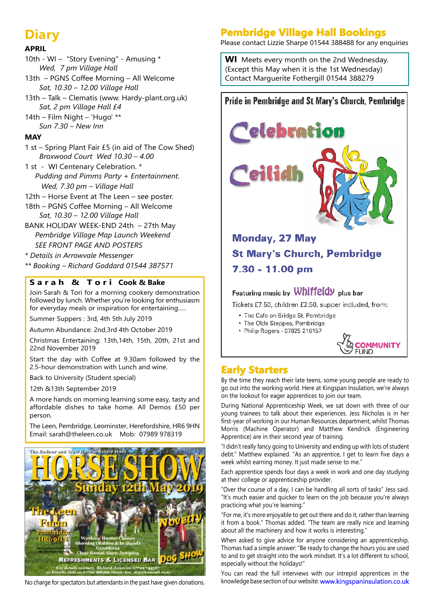## **Diary**

## **APRIL**

- 10th WI "Story Evening" Amusing \*  *Wed, 7 pm Village Hall*
- 13th PGNS Coffee Morning All Welcome  *Sat, 10.30 – 12.00 Village Hall*
- 13th Talk Clematis (www. Hardy-plant.org.uk)  *Sat, 2 pm Village Hall £4*
- 14th Film Night 'Hugo' \*\*  *Sun 7.30 – New Inn*

## **MAY**

- 1 st Spring Plant Fair £5 (in aid of The Cow Shed)  *Broxwood Court Wed 10.30 – 4.00*
- 1 st WI Centenary Celebration. \* *Pudding and Pimms Party + Entertainment. Wed, 7.30 pm – Village Hall*
- 12th Horse Event at The Leen see poster.
- 18th PGNS Coffee Morning All Welcome  *Sat, 10.30 – 12.00 Village Hall*
- BANK HOLIDAY WEEK-END 24th 27th May *Pembridge Village Map Launch Weekend SEE FRONT PAGE AND POSTERS*
- *\* Details in Arrowvale Messenger*
- *\*\* Booking Richard Goddard 01544 387571*

## **S a r a h & T o r i Cook & Bake**

Join Sarah & Tori for a morning cookery demonstration followed by lunch. Whether you're looking for enthusiasm for everyday meals or inspiration for entertaining…..

Summer Suppers : 3rd, 4th 5th July 2019

Autumn Abundance: 2nd,3rd 4th October 2019

Christmas Entertaining: 13th,14th, 15th, 20th, 21st and 22nd November 2019

Start the day with Coffee at 9.30am followed by the 2.5-hour demonstration with Lunch and wine.

Back to University (Student special)

12th &13th September 2019

A more hands on morning learning some easy, tasty and affordable dishes to take home. All Demos £50 per person.

The Leen, Pembridge, Leominster, Herefordshire, HR6 9HN Email: sarah@theleen.co.uk Mob: 07989 978319



No charge for spectators but attendants in the past have given donations.

## **Pembridge Village Hall Bookings**

Please contact Lizzie Sharpe 01544 388488 for any enquiries

**WI** Meets every month on the 2nd Wednesday. (Except this May when it is the 1st Wednesday) Contact Marguerite Fothergill 01544 388279

**Pride in Pembridge and St Mary's Church, Pembridge** 

# elebration

## **Monday, 27 May St Mary's Church, Pembridge** 7.30 - 11.00 pm

## Featuring music by Whiffeldy plus bar

Tickets £7.50, children £2.50, supper included, from:

- . The Cafe on Bridge St, Pembridge
- The Olde Steppes, Pembridge
- Philip Rogers 07825 216157



## **Early Starters**

By the time they reach their late teens, some young people are ready to go out into the working world. Here at Kingspan Insulation, we're always on the lookout for eager apprentices to join our team.

During National Apprenticeship Week, we sat down with three of our young trainees to talk about their experiences. Jess Nicholas is in her first-year of working in our Human Resources department, whilst Thomas Morris (Machine Operator) and Matthew Kendrick (Engineering Apprentice) are in their second year of training.

"I didn't really fancy going to University and ending up with lots of student debt." Matthew explained. "As an apprentice, I get to learn five days a week whilst earning money. It just made sense to me."

Each apprentice spends four days a week in work and one day studying at their college or apprenticeship provider.

"Over the course of a day, I can be handling all sorts of tasks" Jess said. "It's much easier and quicker to learn on the job because you're always practicing what you're learning."

"For me, it's more enjoyable to get out there and do it, rather than learning it from a book." Thomas added. "The team are really nice and learning about all the machinery and how it works is interesting."

When asked to give advice for anyone considering an apprenticeship, Thomas had a simple answer: "Be ready to change the hours you are used to and to get straight into the work mindset. It's a lot different to school, especially without the holidays!"

You can read the full interviews with our intrepid apprentices in the knowledge base section of our website: www.kingspaninsulation.co.uk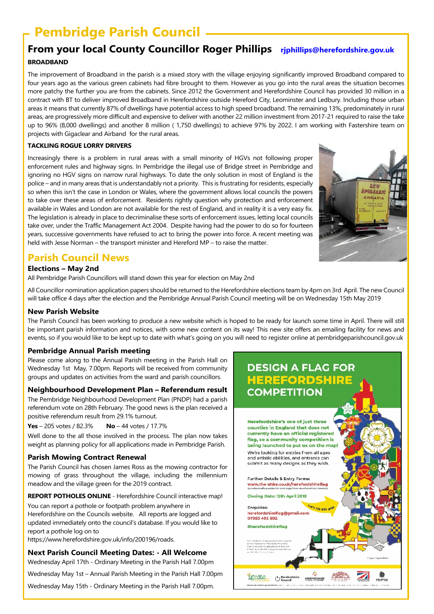## **Pembridge Parish Council**

## **From your local County Councillor Roger Phillips rjphillips@herefordshire.gov.uk BROADBAND**

The improvement of Broadband in the parish is a mixed story with the village enjoying significantly improved Broadband compared to four years ago as the various green cabinets had fibre brought to them. However as you go into the rural areas the situation becomes more patchy the further you are from the cabinets. Since 2012 the Government and Herefordshire Council has provided 30 million in a contract with BT to deliver improved Broadband in Herefordshire outside Hereford City, Leominster and Ledbury. Including those urban areas it means that currently 87% of dwellings have potential access to high speed broadband. The remaining 13%, predominately in rural areas, are progressively more difficult and expensive to deliver with another 22 million investment from 2017-21 required to raise the take up to 96% (8,000 dwellings) and another 8 million ( 1,750 dwellings) to achieve 97% by 2022. I am working with Fastershire team on projects with Gigaclear and Airband for the rural areas.

#### **TACKLING ROGUE LORRY DRIVERS**

Increasingly there is a problem in rural areas with a small minority of HGVs not following proper enforcement rules and highway signs. In Pembridge the illegal use of Bridge street in Pembridge and ignoring no HGV signs on narrow rural highways. To date the only solution in most of England is the police – and in many areas that is understandably not a priority. This is frustrating for residents, especially so when this isn't the case in London or Wales, where the government allows local councils the powers to take over these areas of enforcement. Residents rightly question why protection and enforcement available in Wales and London are not available for the rest of England, and in reality it is a very easy fix. The legislation is already in place to decriminalise these sorts of enforcement issues, letting local councils take over, under the Traffic Management Act 2004. Despite having had the power to do so for fourteen years, successive governments have refused to act to bring the power into force. A recent meeting was held with Jesse Norman – the transport minister and Hereford MP – to raise the matter.

## **Parish Council News**

## **Elections – May 2nd**

All Pembridge Parish Councillors will stand down this year for election on May 2nd

All Councillor nomination application papers should be returned to the Herefordshire elections team by 4pm on 3rd April. The new Council will take office 4 days after the election and the Pembridge Annual Parish Council meeting will be on Wednesday 15th May 2019

### **New Parish Website**

The Parish Council has been working to produce a new website which is hoped to be ready for launch some time in April. There will still be important parish information and notices, with some new content on its way! This new site offers an emailing facility for news and events, so if you would like to be kept up to date with what's going on you will need to register online at pembridgeparishcouncil.gov.uk

### **Pembridge Annual Parish meeting**

Please come along to the Annual Parish meeting in the Parish Hall on Wednesday 1st May, 7.00pm. Reports will be received from community groups and updates on activities from the ward and parish councillors.

## **Neighbourhood Development Plan – Referendum result**

The Pembridge Neighbourhood Development Plan (PNDP) had a parish referendum vote on 28th February. The good news is the plan received a positive referendum result from 29.1% turnout.

**Yes** – 205 votes / 82.3% **No** – 44 votes / 17.7%

Well done to the all those involved in the process. The plan now takes weight as planning policy for all applications made in Pembridge Parish.

### **Parish Mowing Contract Renewal**

The Parish Council has chosen James Ross as the mowing contractor for mowing of grass throughout the village, including the millennium meadow and the village green for the 2019 contract.

**REPORT POTHOLES ONLINE** - Herefordshire Council interactive map!

You can report a pothole or footpath problem anywhere in Herefordshire on the Councils website. All reports are logged and updated immediately onto the council's database. If you would like to report a pothole log on to

https://www.herefordshire.gov.uk/info/200196/roads.

### **Next Parish Council Meeting Dates: - All Welcome**

Wednesday April 17th - Ordinary Meeting in the Parish Hall 7.00pm

Wednesday May 1st – Annual Parish Meeting in the Parish Hall 7.00pm

Wednesday May 15th - Ordinary Meeting in the Parish Hall 7.00pm.